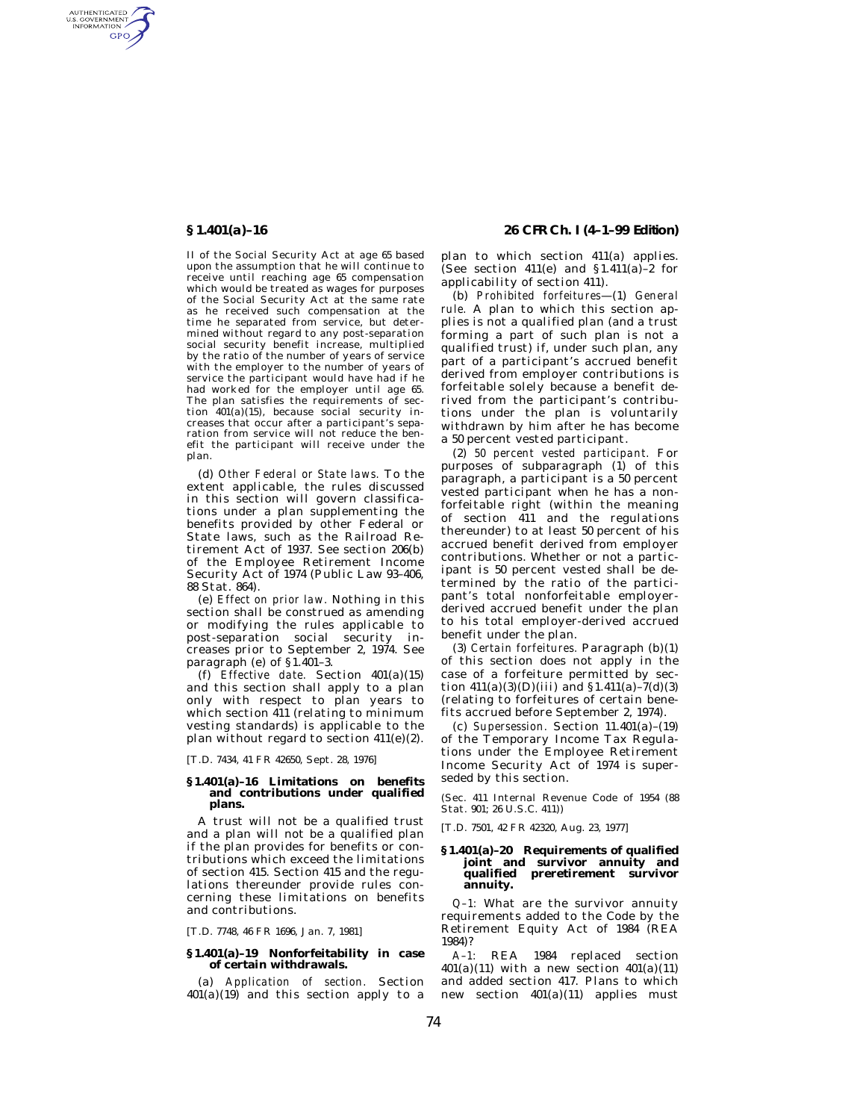AUTHENTICATED<br>U.S. GOVERNMENT<br>INFORMATION **GPO** 

> II of the Social Security Act at age 65 based upon the assumption that he will continue to receive until reaching age 65 compensation which would be treated as wages for purposes of the Social Security Act at the same rate as he received such compensation at the time he separated from service, but determined without regard to any post-separation social security benefit increase, multiplied by the ratio of the number of years of service with the employer to the number of years of service the participant would have had if he had worked for the employer until age 65. The plan satisfies the requirements of section  $401(a)(15)$ , because social security increases that occur after a participant's separation from service will not reduce the benefit the participant will receive under the plan.

> (d) *Other Federal or State laws.* To the extent applicable, the rules discussed in this section will govern classifications under a plan supplementing the benefits provided by other Federal or State laws, such as the Railroad Retirement Act of 1937. See section 206(b) of the Employee Retirement Income Security Act of 1974 (Public Law 93–406, 88 Stat. 864).

> (e) *Effect on prior law.* Nothing in this section shall be construed as amending or modifying the rules applicable to post-separation social security increases prior to September 2, 1974. See paragraph (e) of §1.401–3.

> (f) *Effective date.* Section 401(a)(15) and this section shall apply to a plan only with respect to plan years to which section 411 (relating to minimum vesting standards) is applicable to the plan without regard to section 411(e)(2).

[T.D. 7434, 41 FR 42650, Sept. 28, 1976]

### **§ 1.401(a)–16 Limitations on benefits and contributions under qualified plans.**

A trust will not be a qualified trust and a plan will not be a qualified plan if the plan provides for benefits or contributions which exceed the limitations of section 415. Section 415 and the regulations thereunder provide rules concerning these limitations on benefits and contributions.

[T.D. 7748, 46 FR 1696, Jan. 7, 1981]

### **§ 1.401(a)–19 Nonforfeitability in case of certain withdrawals.**

(a) *Application of section.* Section  $401(a)(19)$  and this section apply to a

**§ 1.401(a)–16 26 CFR Ch. I (4–1–99 Edition)**

plan to which section 411(a) applies. (See section  $411(e)$  and  $$1.411(a)-2$  for applicability of section 411).

(b) *Prohibited forfeitures*—(1) *General rule.* A plan to which this section applies is not a qualified plan (and a trust forming a part of such plan is not a qualified trust) if, under such plan, any part of a participant's accrued benefit derived from employer contributions is forfeitable solely because a benefit derived from the participant's contributions under the plan is voluntarily withdrawn by him after he has become a 50 percent vested participant.

(2) *50 percent vested participant.* For purposes of subparagraph (1) of this paragraph, a participant is a 50 percent vested participant when he has a nonforfeitable right (within the meaning of section 411 and the regulations thereunder) to at least 50 percent of his accrued benefit derived from employer contributions. Whether or not a participant is 50 percent vested shall be determined by the ratio of the participant's total nonforfeitable employerderived accrued benefit under the plan to his total employer-derived accrued benefit under the plan.

(3) *Certain forfeitures.* Paragraph (b)(1) of this section does not apply in the case of a forfeiture permitted by section  $411(a)(3)(D)(iii)$  and  $$1.411(a)-7(d)(3)$ (relating to forfeitures of certain benefits accrued before September 2, 1974).

(c) *Supersession.* Section 11.401(a)–(19) of the Temporary Income Tax Regulations under the Employee Retirement Income Security Act of 1974 is superseded by this section.

(Sec. 411 Internal Revenue Code of 1954 (88 Stat. 901; 26 U.S.C. 411))

[T.D. 7501, 42 FR 42320, Aug. 23, 1977]

### **§ 1.401(a)–20 Requirements of qualified joint and survivor annuity and qualified preretirement survivor annuity.**

*Q–1:* What are the survivor annuity requirements added to the Code by the Retirement Equity Act of 1984 (REA 1984)?

*A–1:* REA 1984 replaced section  $401(a)(11)$  with a new section  $401(a)(11)$ and added section 417. Plans to which new section 401(a)(11) applies must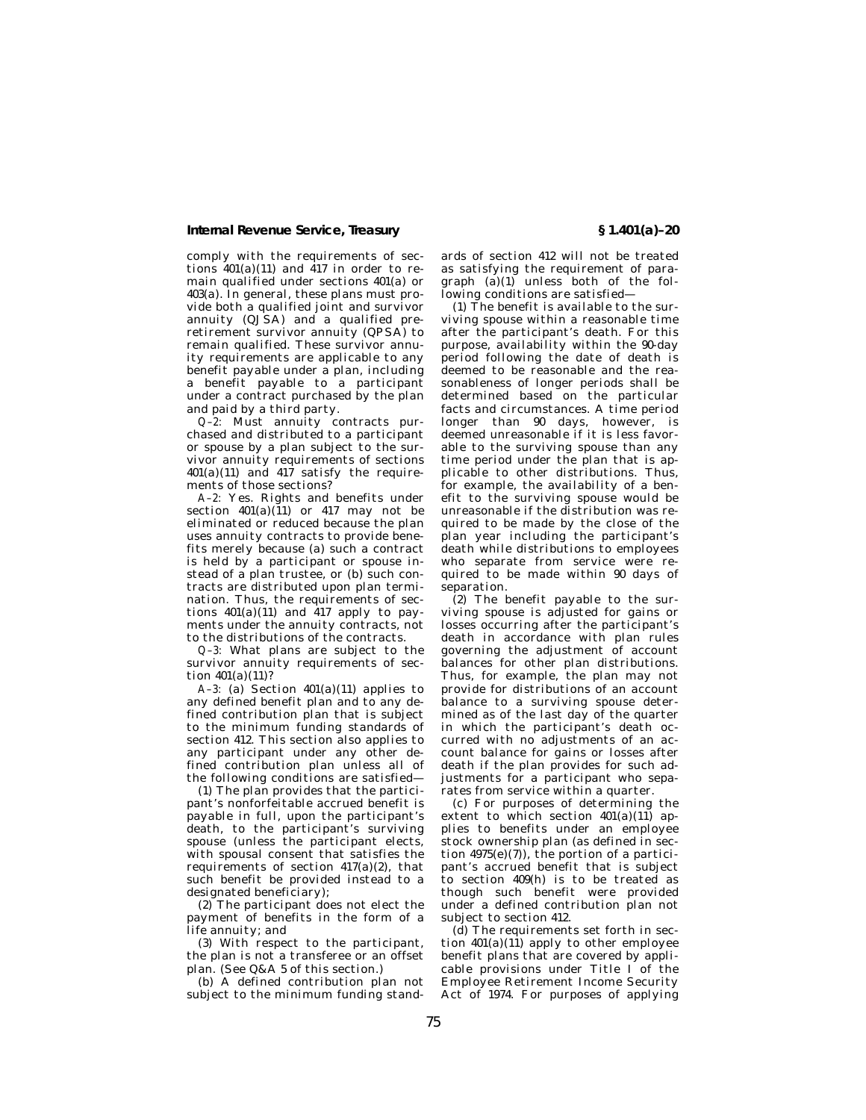comply with the requirements of sections  $401(a)(11)$  and  $417$  in order to remain qualified under sections 401(a) or 403(a). In general, these plans must provide both a qualified joint and survivor annuity (QJSA) and a qualified preretirement survivor annuity (QPSA) to remain qualified. These survivor annuity requirements are applicable to any benefit payable under a plan, including a benefit payable to a participant under a contract purchased by the plan and paid by a third party.

*Q–2:* Must annuity contracts purchased and distributed to a participant or spouse by a plan subject to the survivor annuity requirements of sections  $401(a)(11)$  and  $41\overline{7}$  satisfy the requirements of those sections?

*A–2:* Yes. Rights and benefits under section  $401(a)(11)$  or  $417$  may not be eliminated or reduced because the plan uses annuity contracts to provide benefits merely because (a) such a contract is held by a participant or spouse instead of a plan trustee, or (b) such contracts are distributed upon plan termination. Thus, the requirements of sections  $401(a)(11)$  and  $417$  apply to payments under the annuity contracts, not to the distributions of the contracts.

*Q–3:* What plans are subject to the survivor annuity requirements of section  $401(a)(11)$ ?

*A–3:* (a) Section 401(a)(11) applies to any defined benefit plan and to any defined contribution plan that is subject to the minimum funding standards of section 412. This section also applies to any participant under any other defined contribution plan unless all of the following conditions are satisfied—

(1) The plan provides that the participant's nonforfeitable accrued benefit is payable in full, upon the participant's death, to the participant's surviving spouse (unless the participant elects, with spousal consent that satisfies the requirements of section  $417(a)(2)$ , that such benefit be provided instead to a designated beneficiary);

(2) The participant does not elect the payment of benefits in the form of a life annuity; and

(3) With respect to the participant, the plan is not a transferee or an offset plan. (See Q&A 5 of this section.)

(b) A defined contribution plan not subject to the minimum funding stand-

ards of section 412 will not be treated as satisfying the requirement of paragraph  $(a)(1)$  unless both of the following conditions are satisfied—

(1) The benefit is available to the surviving spouse within a reasonable time after the participant's death. For this purpose, availability within the 90-day period following the date of death is deemed to be reasonable and the reasonableness of longer periods shall be determined based on the particular facts and circumstances. A time period longer than 90 days, however, is deemed unreasonable if it is less favorable to the surviving spouse than any time period under the plan that is applicable to other distributions. Thus, for example, the availability of a benefit to the surviving spouse would be unreasonable if the distribution was required to be made by the close of the plan year including the participant's death while distributions to employees who separate from service were required to be made within 90 days of separation.

(2) The benefit payable to the surviving spouse is adjusted for gains or losses occurring after the participant's death in accordance with plan rules governing the adjustment of account balances for other plan distributions. Thus, for example, the plan may not provide for distributions of an account .<br>balance to a surviving spouse determined as of the last day of the quarter in which the participant's death occurred with no adjustments of an account balance for gains or losses after death if the plan provides for such adjustments for a participant who separates from service within a quarter.

(c) For purposes of determining the extent to which section  $401(a)(11)$  applies to benefits under an employee stock ownership plan (as defined in section  $4975(e)(7)$ , the portion of a participant's accrued benefit that is subject to section 409(h) is to be treated as though such benefit were provided under a defined contribution plan not subject to section 412.

 $(d)$  The requirements set forth in section  $401(a)(11)$  apply to other employee benefit plans that are covered by applicable provisions under Title I of the Employee Retirement Income Security Act of 1974. For purposes of applying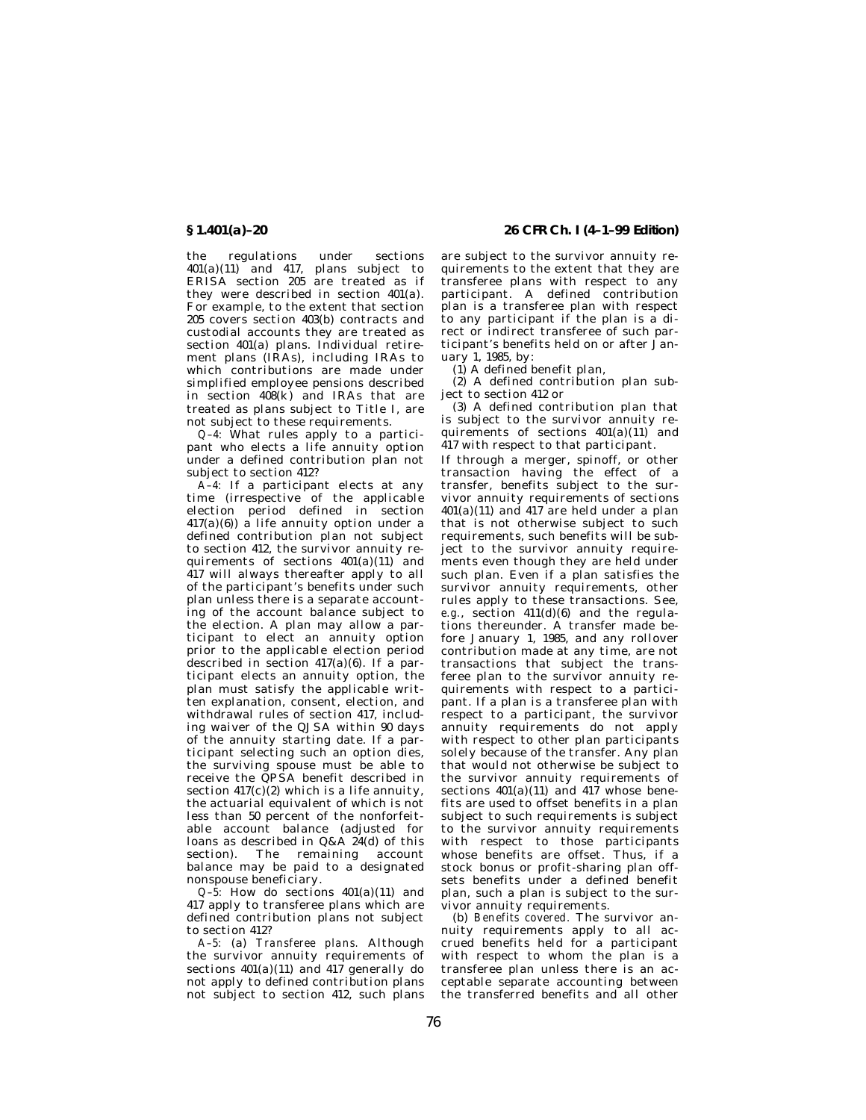the regulations under sections 401(a)(11) and 417, plans subject to ERISA section 205 are treated as if they were described in section 401(a). For example, to the extent that section 205 covers section 403(b) contracts and custodial accounts they are treated as section 401(a) plans. Individual retirement plans (IRAs), including IRAs to which contributions are made under simplified employee pensions described in section  $408(k)$  and IRAs that are treated as plans subject to Title I, are not subject to these requirements.

*Q–4:* What rules apply to a participant who elects a life annuity option under a defined contribution plan not subject to section 412?

*A–4:* If a participant elects at any time (irrespective of the applicable election period defined in section  $417(a)(6)$ ) a life annuity option under a defined contribution plan not subject to section 412, the survivor annuity requirements of sections  $401(a)(11)$  and 417 will always thereafter apply to all of the participant's benefits under such plan unless there is a separate accounting of the account balance subject to the election. A plan may allow a participant to elect an annuity option prior to the applicable election period described in section  $417(a)(6)$ . If a participant elects an annuity option, the plan must satisfy the applicable written explanation, consent, election, and withdrawal rules of section 417, including waiver of the QJSA within 90 days of the annuity starting date. If a participant selecting such an option dies, the surviving spouse must be able to receive the QPSA benefit described in section  $417(c)(2)$  which is a life annuity, the actuarial equivalent of which is not less than 50 percent of the nonforfeitable account balance (adjusted for loans as described in  $Q&A$  24(d) of this section). The remaining account balance may be paid to  $a$  designated nonspouse beneficiary.

 $Q-\overline{5}$ : How do sections  $401(a)(11)$  and 417 apply to transferee plans which are defined contribution plans not subject to section 412?

*A–5:* (a) *Transferee plans.* Although the survivor annuity requirements of sections  $401(a)(11)$  and  $417$  generally do not apply to defined contribution plans not subject to section 412, such plans

**§ 1.401(a)–20 26 CFR Ch. I (4–1–99 Edition)**

are subject to the survivor annuity requirements to the extent that they are transferee plans with respect to any participant. A defined contribution plan is a transferee plan with respect to any participant if the plan is a direct or indirect transferee of such participant's benefits held on or after January 1, 1985, by:

(1) A defined benefit plan,

(2) A defined contribution plan subject to section 412 or

(3) A defined contribution plan that is subject to the survivor annuity requirements of sections 401(a)(11) and 417 with respect to that participant.

If through a merger, spinoff, or other transaction having the effect of a transfer, benefits subject to the survivor annuity requirements of sections  $401(a)(11)$  and  $417$  are held under a plan that is not otherwise subject to such requirements, such benefits will be subject to the survivor annuity requirements even though they are held under such plan. Even if a plan satisfies the survivor annuity requirements, other rules apply to these transactions. See, *e.g.*, section 411(d)(6) and the regulations thereunder. A transfer made before January 1, 1985, and any rollover contribution made at any time, are not transactions that subject the transferee plan to the survivor annuity requirements with respect to a participant. If a plan is a transferee plan with respect to a participant, the survivor annuity requirements do not apply with respect to other plan participants solely because of the transfer. Any plan that would not otherwise be subject to the survivor annuity requirements of sections  $401(a)(11)$  and  $417$  whose benefits are used to offset benefits in a plan subject to such requirements is subject to the survivor annuity requirements with respect to those participants whose benefits are offset. Thus, if a stock bonus or profit-sharing plan offsets benefits under a defined benefit plan, such a plan is subject to the survivor annuity requirements.

(b) *Benefits covered.* The survivor annuity requirements apply to all accrued benefits held for a participant with respect to whom the plan is a transferee plan unless there is an acceptable separate accounting between the transferred benefits and all other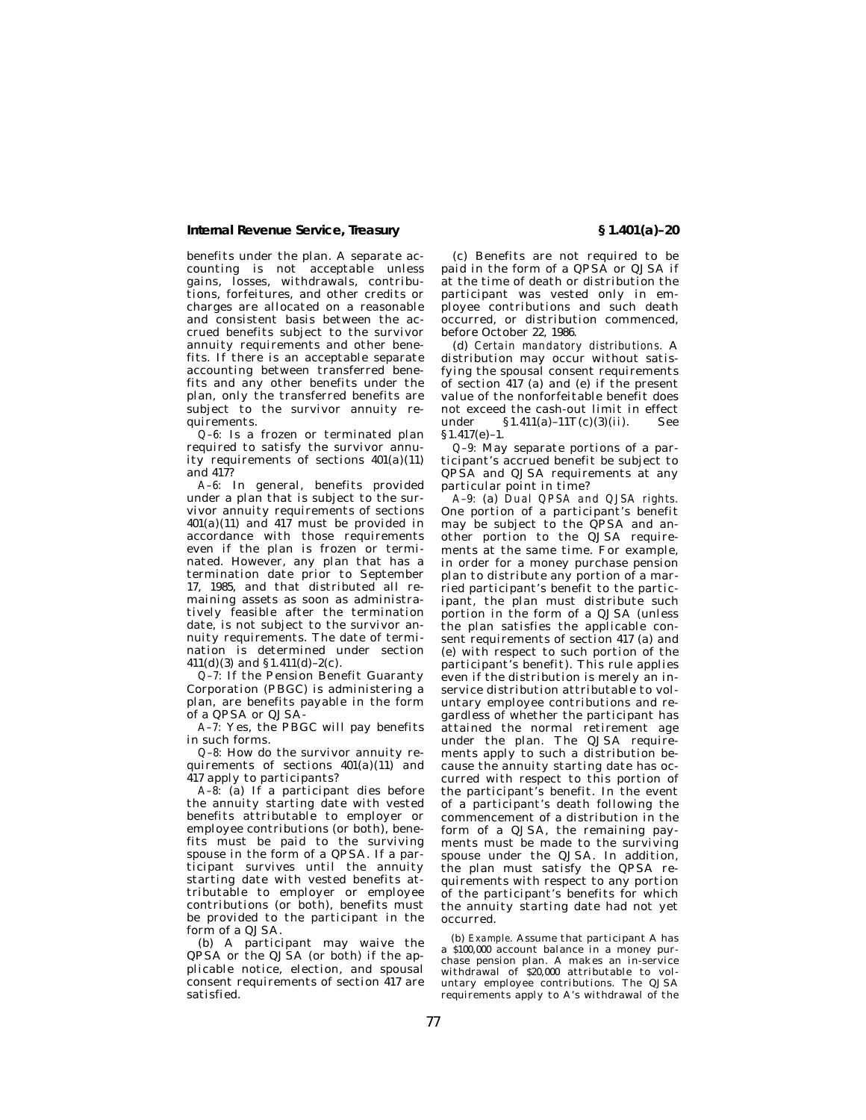benefits under the plan. A separate accounting is not acceptable unless gains, losses, withdrawals, contributions, forfeitures, and other credits or charges are allocated on a reasonable and consistent basis between the accrued benefits subject to the survivor annuity requirements and other benefits. If there is an acceptable separate accounting between transferred benefits and any other benefits under the plan, only the transferred benefits are subject to the survivor annuity requirements.

*Q–6:* Is a frozen or terminated plan required to satisfy the survivor annuity requirements of sections  $401(a)(11)$ and 417?

*A–6:* In general, benefits provided under a plan that is subject to the survivor annuity requirements of sections  $401(a)(11)$  and  $417$  must be provided in accordance with those requirements even if the plan is frozen or terminated. However, any plan that has a termination date prior to September 17, 1985, and that distributed all remaining assets as soon as administratively feasible after the termination date, is not subject to the survivor annuity requirements. The date of termination is determined under section 411(d)(3) and §1.411(d)–2(c).

*Q–7:* If the Pension Benefit Guaranty Corporation (PBGC) is administering a plan, are benefits payable in the form of a QPSA or QJSA-

*A–7:* Yes, the PBGC will pay benefits in such forms.

*Q–8:* How do the survivor annuity requirements of sections  $401(a)(11)$  and 417 apply to participants?

*A–8:* (a) If a participant dies before the annuity starting date with vested benefits attributable to employer or employee contributions (or both), benefits must be paid to the surviving spouse in the form of a QPSA. If a participant survives until the annuity starting date with vested benefits attributable to employer or employee contributions (or both), benefits must be provided to the participant in the form of a QJSA.

(b) A participant may waive the QPSA or the QJSA (or both) if the applicable notice, election, and spousal consent requirements of section 417 are satisfied.

(c) Benefits are not required to be paid in the form of a QPSA or QJSA if at the time of death or distribution the participant was vested only in employee contributions and such death occurred, or distribution commenced, before October 22, 1986.

(d) *Certain mandatory distributions.* A distribution may occur without satisfying the spousal consent requirements of section 417 (a) and (e) if the present value of the nonforfeitable benefit does not exceed the cash-out limit in effect under § 1.411(a)-11T(c)(3)(ii). See §1.417(e)–1.

*Q–9:* May separate portions of a participant's accrued benefit be subject to QPSA and QJSA requirements at any particular point in time?

*A–9:* (a) *Dual QPSA and QJSA rights.* One portion of a participant's benefit may be subject to the QPSA and another portion to the QJSA requirements at the same time. For example, in order for a money purchase pension plan to distribute any portion of a married participant's benefit to the participant, the plan must distribute such portion in the form of a QJSA (unless the plan satisfies the applicable consent requirements of section 417 (a) and (e) with respect to such portion of the participant's benefit). This rule applies even if the distribution is merely an inservice distribution attributable to voluntary employee contributions and regardless of whether the participant has attained the normal retirement age under the plan. The QJSA requirements apply to such a distribution because the annuity starting date has occurred with respect to this portion of the participant's benefit. In the event of a participant's death following the commencement of a distribution in the form of a QJSA, the remaining payments must be made to the surviving spouse under the QJSA. In addition, the plan must satisfy the QPSA requirements with respect to any portion of the participant's benefits for which the annuity starting date had not yet occurred.

(b) *Example.* Assume that participant A has a \$100,000 account balance in a money purchase pension plan. A makes an in-service withdrawal of \$20,000 attributable to voluntary employee contributions. The QJSA requirements apply to A's withdrawal of the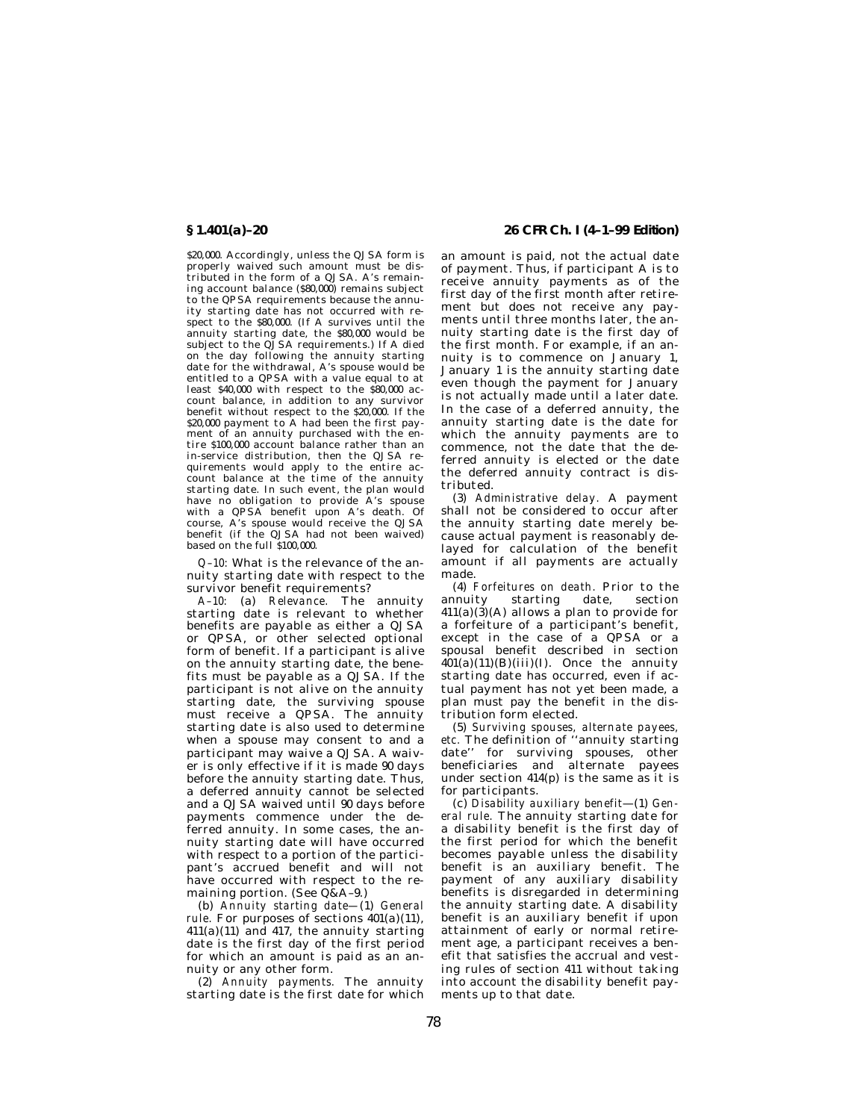\$20,000. Accordingly, unless the QJSA form is properly waived such amount must be distributed in the form of a QJSA. A's remaining account balance (\$80,000) remains subject to the QPSA requirements because the annuity starting date has not occurred with respect to the \$80,000. (If A survives until the annuity starting date, the \$80,000 would be subject to the QJSA requirements.) If A died on the day following the annuity starting date for the withdrawal, A's spouse would be entitled to a QPSA with a value equal to at least \$40,000 with respect to the \$80,000 account balance, in addition to any survivor benefit without respect to the \$20,000. If the \$20,000 payment to A had been the first payment of an annuity purchased with the en-tire \$100,000 account balance rather than an in-service distribution, then the QJSA requirements would apply to the entire account balance at the time of the annuity starting date. In such event, the plan would have no obligation to provide A's spouse with a QPSA benefit upon A's death. Of course, A's spouse would receive the QJSA benefit (if the QJSA had not been waived) based on the full \$100,000.

*Q–10:* What is the relevance of the annuity starting date with respect to the survivor benefit requirements?

*A–10:* (a) *Relevance.* The annuity starting date is relevant to whether benefits are payable as either a QJSA or QPSA, or other selected optional form of benefit. If a participant is alive on the annuity starting date, the benefits must be payable as a QJSA. If the participant is not alive on the annuity starting date, the surviving spouse must receive a QPSA. The annuity starting date is also used to determine when a spouse may consent to and a participant may waive a QJSA. A waiver is only effective if it is made 90 days before the annuity starting date. Thus, a deferred annuity cannot be selected and a QJSA waived until 90 days before payments commence under the deferred annuity. In some cases, the annuity starting date will have occurred with respect to a portion of the participant's accrued benefit and will not have occurred with respect to the remaining portion. (See Q&A–9.)

(b) *Annuity starting date—*(1) *General rule.* For purposes of sections  $401(a)(11)$ , 411(a)(11) and 417, the annuity starting date is the first day of the first period for which an amount is paid as an annuity or any other form.

(2) *Annuity payments.* The annuity starting date is the first date for which

**§ 1.401(a)–20 26 CFR Ch. I (4–1–99 Edition)**

an amount is paid, not the actual date of payment. Thus, if participant A is to receive annuity payments as of the first day of the first month after retirement but does not receive any payments until three months later, the annuity starting date is the first day of the first month. For example, if an annuity is to commence on January 1, January 1 is the annuity starting date even though the payment for January is not actually made until a later date. In the case of a deferred annuity, the annuity starting date is the date for which the annuity payments are to commence, not the date that the deferred annuity is elected or the date the deferred annuity contract is distributed.

(3) *Administrative delay.* A payment shall not be considered to occur after the annuity starting date merely because actual payment is reasonably delayed for calculation of the benefit amount if all payments are actually made.

(4) *Forfeitures on death.* Prior to the annuity starting date, section  $411(a)(3)(A)$  allows a plan to provide for a forfeiture of a participant's benefit, except in the case of a QPSA or a spousal benefit described in section  $401(a)(11)(B)(iii)(I)$ . Once the annuity starting date has occurred, even if actual payment has not yet been made, a plan must pay the benefit in the distribution form elected.

(5) *Surviving spouses, alternate payees, etc.* The definition of ''annuity starting date'' for surviving spouses, other beneficiaries and alternate payees under section  $414(p)$  is the same as it is for participants.

(c) *Disability auxiliary benefit*—(1) *General rule.* The annuity starting date for a disability benefit is the first day of the first period for which the benefit becomes payable unless the disability benefit is an auxiliary benefit. The payment of any auxiliary disability benefits is disregarded in determining the annuity starting date. A disability benefit is an auxiliary benefit if upon attainment of early or normal retirement age, a participant receives a benefit that satisfies the accrual and vesting rules of section 411 without taking into account the disability benefit payments up to that date.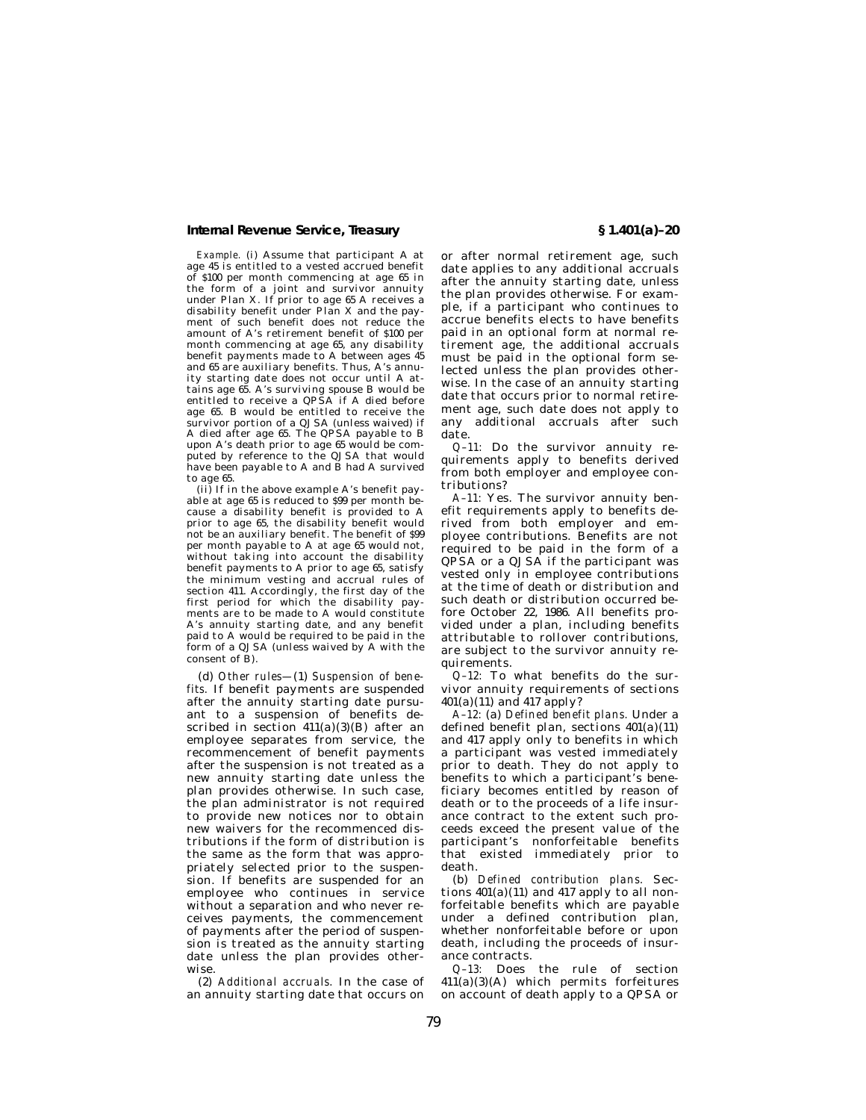*Example.* (i) Assume that participant A at age 45 is entitled to a vested accrued benefit of \$100 per month commencing at age 65 in the form of a joint and survivor annuity under Plan X. If prior to age 65 A receives a disability benefit under Plan X and the payment of such benefit does not reduce the amount of A's retirement benefit of \$100 per month commencing at age 65, any disability benefit payments made to A between ages 45 and 65 are auxiliary benefits. Thus, A's annuity starting date does not occur until A attains age 65. A's surviving spouse B would be entitled to receive a QPSA if A died before age 65. B would be entitled to receive the survivor portion of a QJSA (unless waived) if A died after age 65. The QPSA payable to B upon A's death prior to age 65 would be computed by reference to the QJSA that would have been payable to A and B had A survived to age 65.

(ii) If in the above example A's benefit payable at age 65 is reduced to \$99 per month because a disability benefit is provided to A prior to age 65, the disability benefit would not be an auxiliary benefit. The benefit of \$99 per month payable to A at age 65 would not, without taking into account the disability benefit payments to A prior to age 65, satisfy the minimum vesting and accrual rules of section 411. Accordingly, the first day of the first period for which the disability payments are to be made to A would constitute A's annuity starting date, and any benefit paid to A would be required to be paid in the form of a QJSA (unless waived by A with the consent of B).

(d) *Other rules—*(1) *Suspension of benefits.* If benefit payments are suspended after the annuity starting date pursuant to a suspension of benefits described in section  $411(a)(3)(B)$  after an employee separates from service, the recommencement of benefit payments after the suspension is not treated as a new annuity starting date unless the plan provides otherwise. In such case, the plan administrator is not required to provide new notices nor to obtain new waivers for the recommenced distributions if the form of distribution is the same as the form that was appropriately selected prior to the suspension. If benefits are suspended for an employee who continues in service without a separation and who never receives payments, the commencement of payments after the period of suspension is treated as the annuity starting date unless the plan provides otherwise.

(2) *Additional accruals.* In the case of an annuity starting date that occurs on

or after normal retirement age, such date applies to any additional accruals after the annuity starting date, unless the plan provides otherwise. For example, if a participant who continues to accrue benefits elects to have benefits paid in an optional form at normal retirement age, the additional accruals must be paid in the optional form selected unless the plan provides otherwise. In the case of an annuity starting date that occurs prior to normal retirement age, such date does not apply to any additional accruals after such date.

*Q–11:* Do the survivor annuity requirements apply to benefits derived from both employer and employee contributions?

*A–11:* Yes. The survivor annuity benefit requirements apply to benefits derived from both employer and employee contributions. Benefits are not required to be paid in the form of a QPSA or a QJSA if the participant was vested only in employee contributions at the time of death or distribution and such death or distribution occurred before October 22, 1986. All benefits provided under a plan, including benefits attributable to rollover contributions, are subject to the survivor annuity requirements.

*Q–12:* To what benefits do the survivor annuity requirements of sections  $401(a)(11)$  and  $417$  apply?

*A–12:* (a) *Defined benefit plans.* Under a defined benefit plan, sections 401(a)(11) and 417 apply only to benefits in which a participant was vested immediately prior to death. They do not apply to benefits to which a participant's beneficiary becomes entitled by reason of death or to the proceeds of a life insurance contract to the extent such proceeds exceed the present value of the participant's nonforfeitable benefits that existed immediately prior to death.

(b) *Defined contribution plans.* Sections  $401(a)(11)$  and  $417$  apply to all nonforfeitable benefits which are payable under a defined contribution plan, whether nonforfeitable before or upon death, including the proceeds of insurance contracts.

*Q–13:* Does the rule of section  $411(a)(3)(A)$  which permits forfeitures on account of death apply to a QPSA or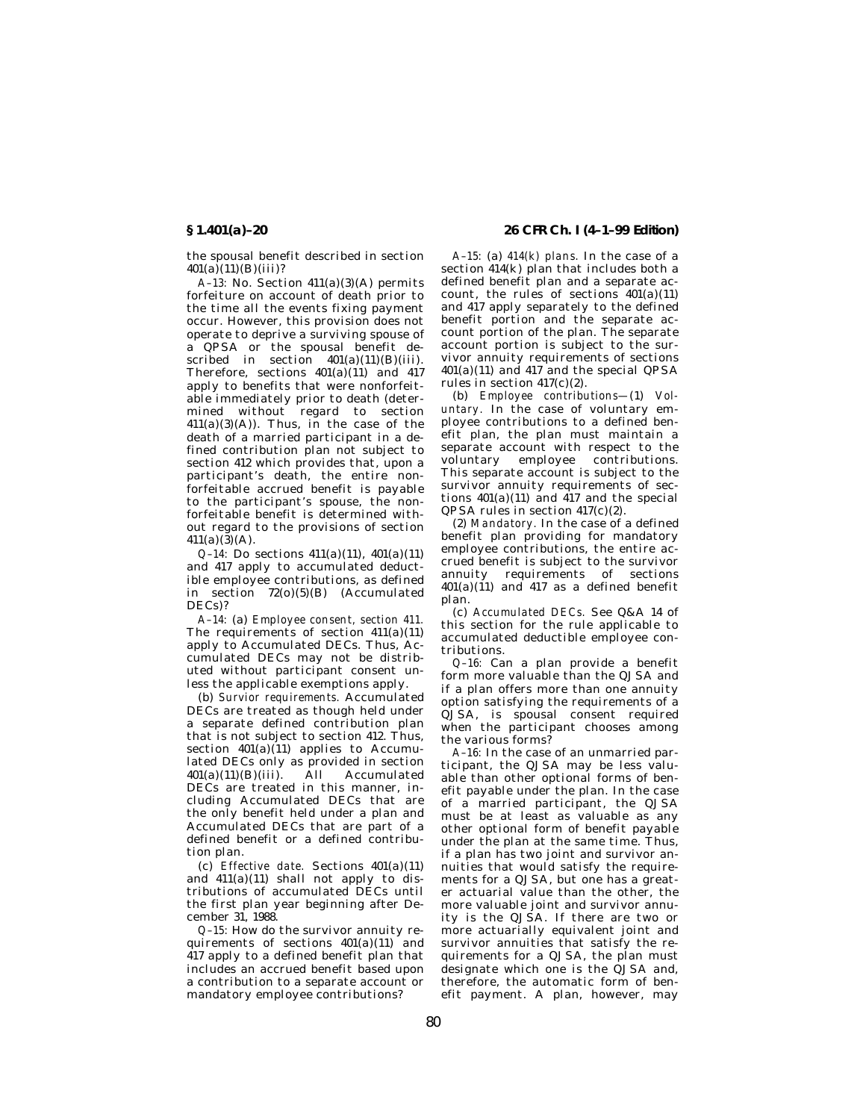the spousal benefit described in section  $401(a)(11)(B)(iii)$ ?

*A–13:* No. Section 411(a)(3)(A) permits forfeiture on account of death prior to the time all the events fixing payment occur. However, this provision does not operate to deprive a surviving spouse of a QPSA or the spousal benefit described in section  $401(a)(11)(B)(iii)$ . Therefore, sections 401(a)(11) and 417 apply to benefits that were nonforfeitable immediately prior to death (determined without regard to section  $411(a)(3)(A)$ . Thus, in the case of the death of a married participant in a defined contribution plan not subject to section 412 which provides that, upon a participant's death, the entire nonforfeitable accrued benefit is payable to the participant's spouse, the nonforfeitable benefit is determined without regard to the provisions of section  $411(a)(3)(A)$ .

*Q–14:* Do sections 411(a)(11), 401(a)(11) and 417 apply to accumulated deductible employee contributions, as defined in section  $72(0)(5)(B)$  (Accumulated DECs)?

*A–14:* (a) *Employee consent, section 411.* The requirements of section  $411(a)(11)$ apply to Accumulated DECs. Thus, Accumulated DECs may not be distributed without participant consent unless the applicable exemptions apply.

(b) *Survior requirements.* Accumulated DECs are treated as though held under a separate defined contribution plan that is not subject to section 412. Thus, section  $401(a)(11)$  applies to Accumulated DECs only as provided in section  $401(a)(11)(B)(iii)$ . All Accumulated DECs are treated in this manner, including Accumulated DECs that are the only benefit held under a plan and Accumulated DECs that are part of a defined benefit or a defined contribution plan.

(c) *Effective date.* Sections 401(a)(11) and  $411(a)(11)$  shall not apply to distributions of accumulated DECs until the first plan year beginning after December 31, 1988.

*Q–15:* How do the survivor annuity requirements of sections  $401(a)(11)$  and 417 apply to a defined benefit plan that includes an accrued benefit based upon a contribution to a separate account or mandatory employee contributions?

**§ 1.401(a)–20 26 CFR Ch. I (4–1–99 Edition)**

*A–15:* (a) *414(k) plans.* In the case of a section 414(k) plan that includes both a defined benefit plan and a separate account, the rules of sections  $401(a)(11)$ and 417 apply separately to the defined benefit portion and the separate account portion of the plan. The separate account portion is subject to the survivor annuity requirements of sections 401(a)(11) and 417 and the special QPSA rules in section 417(c)(2).

(b) *Employee contributions—*(1) *Voluntary.* In the case of voluntary employee contributions to a defined benefit plan, the plan must maintain a separate account with respect to the voluntary employee contributions. This separate account is subject to the survivor annuity requirements of sections  $401(a)(11)$  and  $417$  and the special QPSA rules in section 417(c)(2).

(2) *Mandatory.* In the case of a defined benefit plan providing for mandatory employee contributions, the entire accrued benefit is subject to the survivor annuity requirements of sections  $401(a)(11)$  and  $417$  as a defined benefit plan.

(c) *Accumulated DECs.* See Q&A 14 of this section for the rule applicable to accumulated deductible employee contributions.

*Q–16:* Can a plan provide a benefit form more valuable than the QJSA and if a plan offers more than one annuity option satisfying the requirements of a QJSA, is spousal consent required when the participant chooses among the various forms?

*A–16:* In the case of an unmarried participant, the QJSA may be less valuable than other optional forms of benefit payable under the plan. In the case of a married participant, the QJSA must be at least as valuable as any other optional form of benefit payable under the plan at the same time. Thus, if a plan has two joint and survivor annuities that would satisfy the requirements for a QJSA, but one has a greater actuarial value than the other, the more valuable joint and survivor annuity is the QJSA. If there are two or more actuarially equivalent joint and survivor annuities that satisfy the requirements for a QJSA, the plan must designate which one is the QJSA and, therefore, the automatic form of benefit payment. A plan, however, may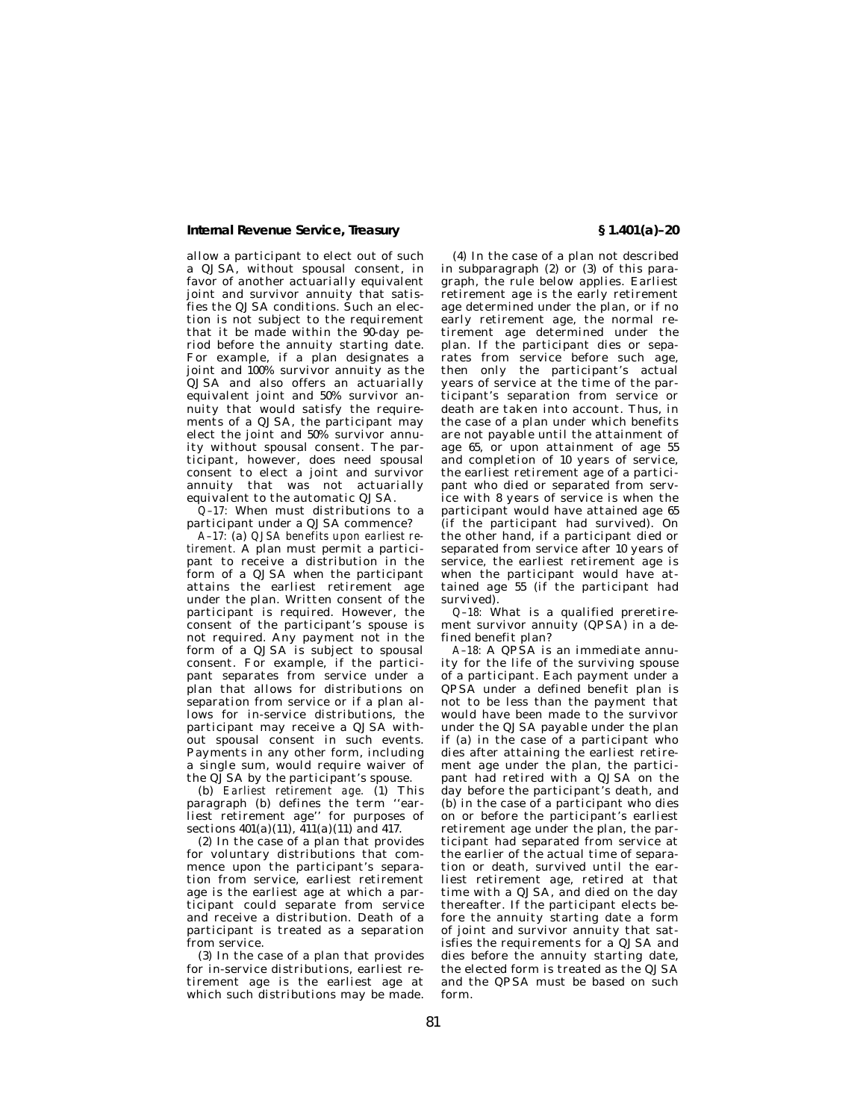allow a participant to elect out of such a QJSA, without spousal consent, in favor of another actuarially equivalent joint and survivor annuity that satisfies the QJSA conditions. Such an election is not subject to the requirement that it be made within the  $90$ -day period before the annuity starting date. For example, if a plan designates a joint and 100% survivor annuity as the QJSA and also offers an actuarially equivalent joint and 50% survivor annuity that would satisfy the requirements of a QJSA, the participant may elect the joint and 50% survivor annuity without spousal consent. The participant, however, does need spousal consent to elect a joint and survivor annuity that was not actuarially equivalent to the automatic QJSA.

*Q–17:* When must distributions to a participant under a QJSA commence?

*A–17:* (a) *QJSA benefits upon earliest retirement.* A plan must permit a participant to receive a distribution in the form of a QJSA when the participant attains the earliest retirement age under the plan. Written consent of the participant is required. However, the consent of the participant's spouse is not required. Any payment not in the form of a QJSA is subject to spousal consent. For example, if the participant separates from service under a plan that allows for distributions on separation from service or if a plan allows for in-service distributions, the participant may receive a QJSA without spousal consent in such events. Payments in any other form, including a single sum, would require waiver of the QJSA by the participant's spouse.

(b) *Earliest retirement age.* (1) This paragraph (b) defines the term ''earliest retirement age'' for purposes of sections  $401(a)(11)$ ,  $411(a)(11)$  and  $417$ .

(2) In the case of a plan that provides for voluntary distributions that commence upon the participant's separation from service, earliest retirement age is the earliest age at which a participant could separate from service and receive a distribution. Death of a participant is treated as a separation from service.

(3) In the case of a plan that provides for in-service distributions, earliest retirement age is the earliest age at which such distributions may be made.

(4) In the case of a plan not described in subparagraph (2) or (3) of this paragraph, the rule below applies. Earliest retirement age is the early retirement age determined under the plan, or if no early retirement age, the normal retirement age determined under the plan. If the participant dies or separates from service before such age, then only the participant's actual years of service at the time of the participant's separation from service or death are taken into account. Thus, in the case of a plan under which benefits are not payable until the attainment of age 65, or upon attainment of age 55 and completion of 10 years of service, the earliest retirement age of a participant who died or separated from service with 8 years of service is when the participant would have attained age 65 (if the participant had survived). On the other hand, if a participant died or separated from service after 10 years of service, the earliest retirement age is when the participant would have attained age 55 (if the participant had survived).

*Q–18:* What is a qualified preretirement survivor annuity (QPSA) in a defined benefit plan?

*A–18:* A QPSA is an immediate annuity for the life of the surviving spouse of a participant. Each payment under a QPSA under a defined benefit plan is not to be less than the payment that would have been made to the survivor under the QJSA payable under the plan if (a) in the case of a participant who dies after attaining the earliest retirement age under the plan, the participant had retired with a QJSA on the day before the participant's death, and (b) in the case of a participant who dies on or before the participant's earliest retirement age under the plan, the participant had separated from service at the earlier of the actual time of separation or death, survived until the earliest retirement age, retired at that time with a QJSA, and died on the day thereafter. If the participant elects before the annuity starting date a form of joint and survivor annuity that satisfies the requirements for a QJSA and dies before the annuity starting date, the elected form is treated as the QJSA and the QPSA must be based on such form.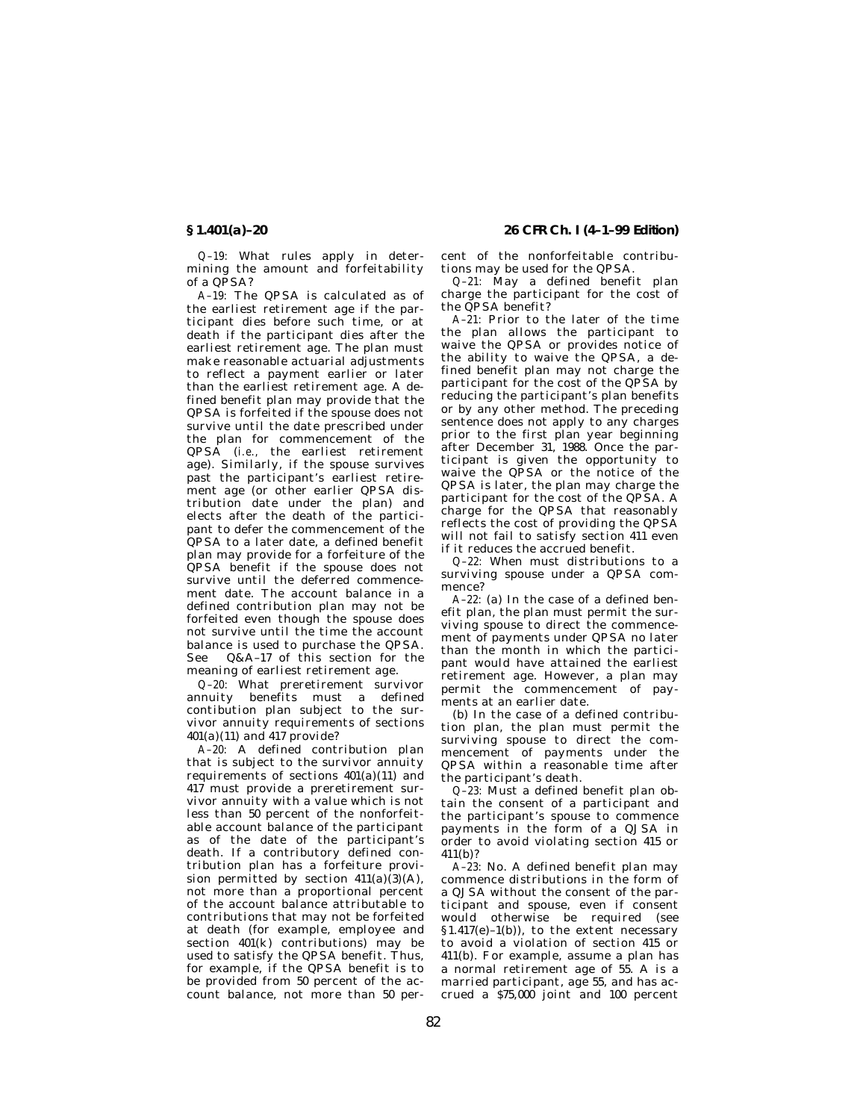*Q–19:* What rules apply in determining the amount and forfeitability of a QPSA?

*A–19:* The QPSA is calculated as of the earliest retirement age if the participant dies before such time, or at death if the participant dies after the earliest retirement age. The plan must make reasonable actuarial adjustments to reflect a payment earlier or later than the earliest retirement age. A defined benefit plan may provide that the QPSA is forfeited if the spouse does not survive until the date prescribed under the plan for commencement of the QPSA (*i.e.,* the earliest retirement age). Similarly, if the spouse survives past the participant's earliest retirement age (or other earlier QPSA distribution date under the plan) and elects after the death of the participant to defer the commencement of the QPSA to a later date, a defined benefit plan may provide for a forfeiture of the QPSA benefit if the spouse does not survive until the deferred commencement date. The account balance in a defined contribution plan may not be forfeited even though the spouse does not survive until the time the account balance is used to purchase the QPSA. See Q&A–17 of this section for the meaning of earliest retirement age.

*Q–20:* What preretirement survivor annuity benefits must a defined contibution plan subject to the survivor annuity requirements of sections 401(a)(11) and 417 provide?

*A–20:* A defined contribution plan that is subject to the survivor annuity requirements of sections 401(a)(11) and 417 must provide a preretirement survivor annuity with a value which is not less than 50 percent of the nonforfeitable account balance of the participant as of the date of the participant's death. If a contributory defined contribution plan has a forfeiture provision permitted by section  $411(a)(3)(A)$ , not more than a proportional percent of the account balance attributable to contributions that may not be forfeited at death (for example, employee and section 401(k) contributions) may be used to satisfy the QPSA benefit. Thus, for example, if the QPSA benefit is to be provided from 50 percent of the account balance, not more than 50 per-

**§ 1.401(a)–20 26 CFR Ch. I (4–1–99 Edition)**

cent of the nonforfeitable contributions may be used for the QPSA.

*Q–21:* May a defined benefit plan charge the participant for the cost of the QPSA benefit?

*A–21:* Prior to the later of the time the plan allows the participant to waive the QPSA or provides notice of the ability to waive the QPSA, a defined benefit plan may not charge the participant for the cost of the QPSA by reducing the participant's plan benefits or by any other method. The preceding sentence does not apply to any charges prior to the first plan year beginning after December 31, 1988. Once the participant is given the opportunity to waive the QPSA or the notice of the QPSA is later, the plan may charge the participant for the cost of the QPSA. A charge for the QPSA that reasonably reflects the cost of providing the QPSA will not fail to satisfy section 411 even if it reduces the accrued benefit.

*Q–22:* When must distributions to a surviving spouse under a QPSA commence?

*A–22:* (a) In the case of a defined benefit plan, the plan must permit the surviving spouse to direct the commencement of payments under QPSA no later than the month in which the participant would have attained the earliest retirement age. However, a plan may permit the commencement of pay-.<br>ments at an earlier date.

(b) In the case of a defined contribution plan, the plan must permit the surviving spouse to direct the commencement of payments under the QPSA within a reasonable time after the participant's death.

*Q–23:* Must a defined benefit plan obtain the consent of a participant and the participant's spouse to commence payments in the form of a QJSA in order to avoid violating section 415 or 411(b)?

*A–23:* No. A defined benefit plan may commence distributions in the form of a QJSA without the consent of the participant and spouse, even if consent would otherwise be required (see § 1.417(e)–1(b)), to the extent necessary to avoid a violation of section 415 or 411(b). For example, assume a plan has a normal retirement age of 55. A is a married participant, age 55, and has accrued a \$75,000 joint and 100 percent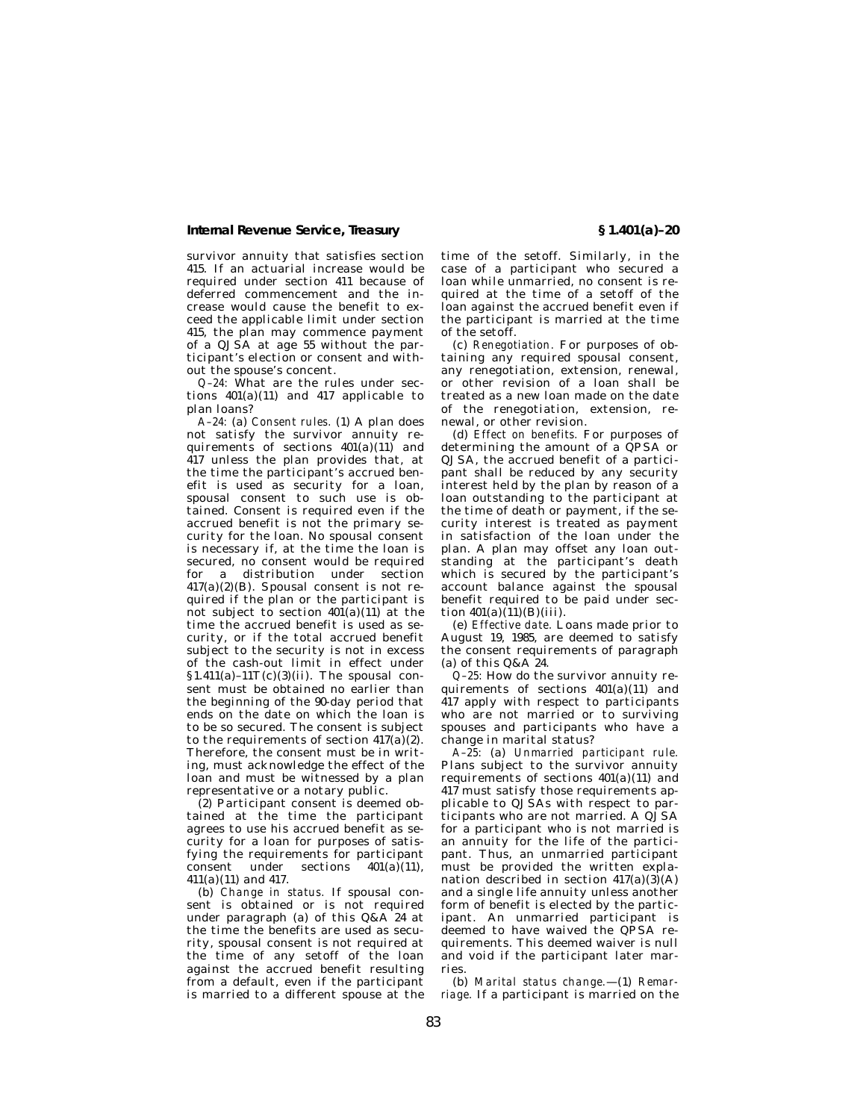survivor annuity that satisfies section 415. If an actuarial increase would be required under section 411 because of deferred commencement and the increase would cause the benefit to exceed the applicable limit under section 415, the plan may commence payment of a QJSA at age 55 without the participant's election or consent and without the spouse's concent.

*Q–24:* What are the rules under sections  $401(a)(11)$  and  $417$  applicable to plan loans?

*A–24:* (a) *Consent rules.* (1) A plan does not satisfy the survivor annuity requirements of sections 401(a)(11) and 417 unless the plan provides that, at the time the participant's accrued benefit is used as security for a loan, spousal consent to such use is obtained. Consent is required even if the accrued benefit is not the primary security for the loan. No spousal consent is necessary if, at the time the loan is secured, no consent would be required for a distribution under section 417(a)(2)(B). Spousal consent is not required if the plan or the participant is not subject to section  $401(a)(11)$  at the time the accrued benefit is used as security, or if the total accrued benefit subject to the security is not in excess of the cash-out limit in effect under  $$1.411(a)-11T(c)(3)(ii)$ . The spousal consent must be obtained no earlier than the beginning of the 90-day period that ends on the date on which the loan is to be so secured. The consent is subject to the requirements of section  $417(a)(2)$ . Therefore, the consent must be in writing, must acknowledge the effect of the loan and must be witnessed by a plan representative or a notary public.

(2) Participant consent is deemed obtained at the time the participant agrees to use his accrued benefit as security for a loan for purposes of satisfying the requirements for participant<br>consent under sections 401(a)(11).  $\overline{\text{constant}}$  under 411(a)(11) and 417.

(b) *Change in status.* If spousal consent is obtained or is not required under paragraph (a) of this Q&A 24 at the time the benefits are used as security, spousal consent is not required at the time of any setoff of the loan against the accrued benefit resulting from a default, even if the participant is married to a different spouse at the

time of the setoff. Similarly, in the case of a participant who secured a loan while unmarried, no consent is required at the time of a setoff of the loan against the accrued benefit even if the participant is married at the time of the setoff.

(c) *Renegotiation.* For purposes of obtaining any required spousal consent, any renegotiation, extension, renewal, or other revision of a loan shall be treated as a new loan made on the date of the renegotiation, extension, renewal, or other revision.

(d) *Effect on benefits.* For purposes of determining the amount of a QPSA or QJSA, the accrued benefit of a participant shall be reduced by any security interest held by the plan by reason of a loan outstanding to the participant at the time of death or payment, if the security interest is treated as payment in satisfaction of the loan under the plan. A plan may offset any loan outstanding at the participant's death which is secured by the participant's account balance against the spousal benefit required to be paid under section  $401(a)(11)(B)(iii)$ .

(e) *Effective date.* Loans made prior to August 19, 1985, are deemed to satisfy the consent requirements of paragraph (a) of this Q&A 24.

*Q–25:* How do the survivor annuity requirements of sections 401(a)(11) and 417 apply with respect to participants who are not married or to surviving spouses and participants who have a change in marital status?

*A–25:* (a) *Unmarried participant rule.* Plans subject to the survivor annuity requirements of sections 401(a)(11) and 417 must satisfy those requirements applicable to QJSAs with respect to participants who are not married. A QJSA for a participant who is not married is an annuity for the life of the participant. Thus, an unmarried participant must be provided the written explanation described in section  $417(a)(3)(A)$ and a single life annuity unless another form of benefit is elected by the participant. An unmarried participant is deemed to have waived the QPSA requirements. This deemed waiver is null and void if the participant later marries.

(b) *Marital status change.*—(1) *Remarriage.* If a participant is married on the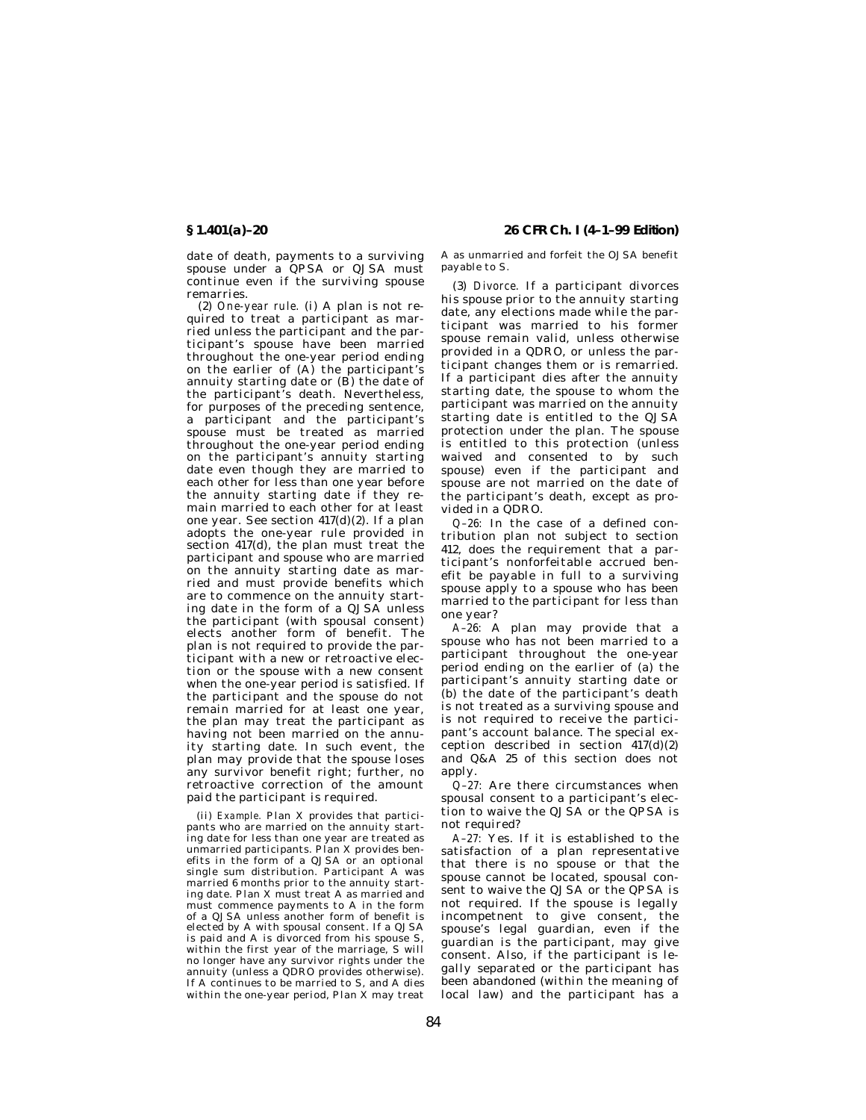date of death, payments to a surviving spouse under a QPSA or QJSA must continue even if the surviving spouse remarries.

(2) *One-year rule.* (i) A plan is not required to treat a participant as married unless the participant and the participant's spouse have been married throughout the one-year period ending on the earlier of (A) the participant's annuity starting date or (B) the date of the participant's death. Nevertheless, for purposes of the preceding sentence, a participant and the participant's spouse must be treated as married throughout the one-year period ending on the participant's annuity starting date even though they are married to each other for less than one year before the annuity starting date if they remain married to each other for at least one year. See section 417(d)(2). If a plan adopts the one-year rule provided in section 417(d), the plan must treat the participant and spouse who are married on the annuity starting date as married and must provide benefits which are to commence on the annuity starting date in the form of a QJSA unless the participant (with spousal consent) elects another form of benefit. The plan is not required to provide the participant with a new or retroactive election or the spouse with a new consent when the one-year period is satisfied. If the participant and the spouse do not remain married for at least one year, the plan may treat the participant as having not been married on the annuity starting date. In such event, the plan may provide that the spouse loses any survivor benefit right; further, no retroactive correction of the amount paid the participant is required.

(ii) *Example.* Plan X provides that participants who are married on the annuity starting date for less than one year are treated as unmarried participants. Plan X provides benefits in the form of a QJSA or an optional single sum distribution. Participant A was married 6 months prior to the annuity starting date. Plan X must treat A as married and must commence payments to A in the form of a QJSA unless another form of benefit is elected by A with spousal consent. If a QJSA is paid and A is divorced from his spouse S, within the first year of the marriage, S will no longer have any survivor rights under the annuity (unless a QDRO provides otherwise). If A continues to be married to S, and A dies within the one-year period, Plan X may treat

**§ 1.401(a)–20 26 CFR Ch. I (4–1–99 Edition)**

A as unmarried and forfeit the OJSA benefit payable to S.

(3) *Divorce.* If a participant divorces his spouse prior to the annuity starting date, any elections made while the participant was married to his former spouse remain valid, unless otherwise provided in a QDRO, or unless the participant changes them or is remarried. If a participant dies after the annuity starting date, the spouse to whom the participant was married on the annuity starting date is entitled to the QJSA protection under the plan. The spouse is entitled to this protection (unless waived and consented to by such spouse) even if the participant and spouse are not married on the date of the participant's death, except as provided in a QDRO.

*Q–26:* In the case of a defined contribution plan not subject to section 412, does the requirement that a participant's nonforfeitable accrued benefit be payable in full to a surviving spouse apply to a spouse who has been married to the participant for less than one year?

*A–26:* A plan may provide that a spouse who has not been married to a participant throughout the one-year period ending on the earlier of (a) the participant's annuity starting date or (b) the date of the participant's death is not treated as a surviving spouse and is not required to receive the participant's account balance. The special exception described in section 417(d)(2) and Q&A 25 of this section does not apply.

*Q–27:* Are there circumstances when spousal consent to a participant's election to waive the QJSA or the QPSA is not required?

*A–27:* Yes. If it is established to the satisfaction of a plan representative that there is no spouse or that the spouse cannot be located, spousal consent to waive the QJSA or the QPSA is not required. If the spouse is legally incompetnent to give consent, the spouse's legal guardian, even if the guardian is the participant, may give consent. Also, if the participant is legally separated or the participant has been abandoned (within the meaning of local law) and the participant has a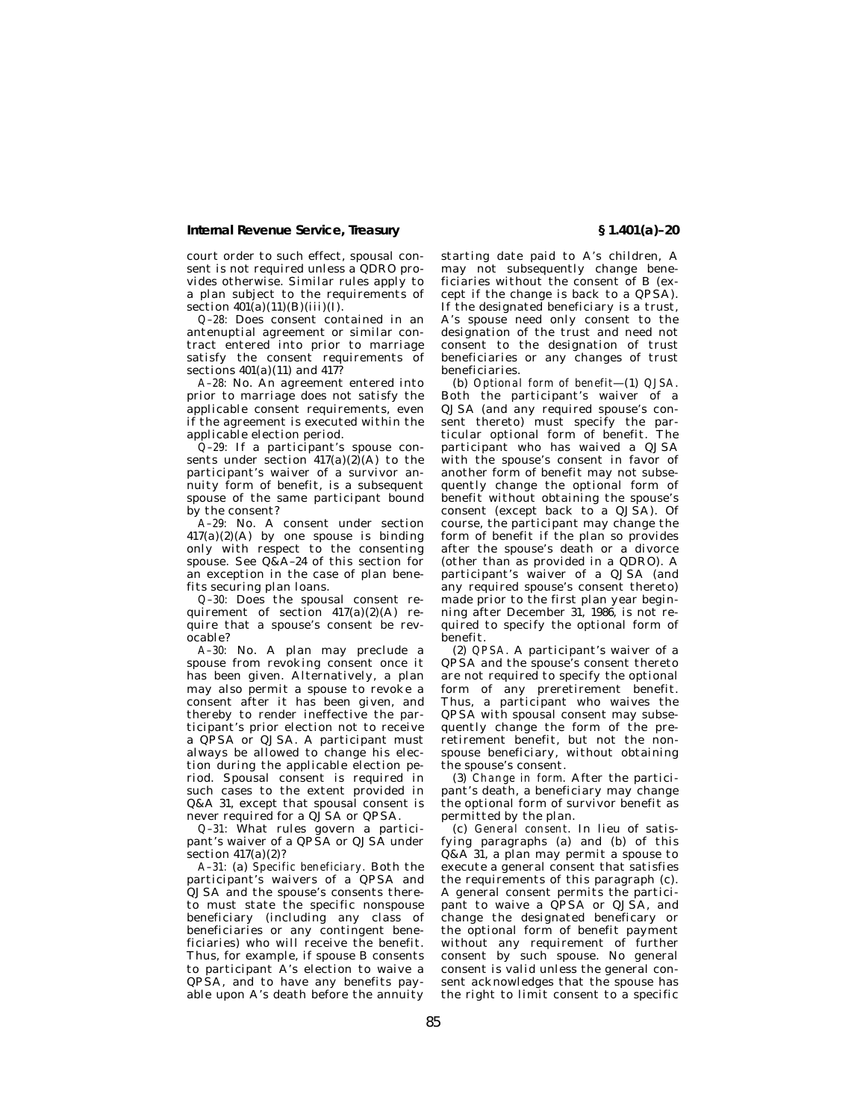court order to such effect, spousal consent is not required unless a QDRO provides otherwise. Similar rules apply to a plan subject to the requirements of section  $401(a)(11)(B)(iii)(I)$ .

*Q–28:* Does consent contained in an antenuptial agreement or similar contract entered into prior to marriage satisfy the consent requirements of sections  $401(a)(11)$  and  $417?$ 

*A–28:* No. An agreement entered into prior to marriage does not satisfy the applicable consent requirements, even if the agreement is executed within the applicable election period.

*Q–29:* If a participant's spouse consents under section  $417(a)(2)(A)$  to the participant's waiver of a survivor annuity form of benefit, is a subsequent spouse of the same participant bound by the consent?

*A–29:* No. A consent under section  $417(a)(2)(A)$  by one spouse is binding only with respect to the consenting spouse. See Q&A–24 of this section for an exception in the case of plan benefits securing plan loans.

*Q–30:* Does the spousal consent requirement of section  $417(a)(2)(A)$  require that a spouse's consent be revocable?

*A–30:* No. A plan may preclude a spouse from revoking consent once it has been given. Alternatively, a plan may also permit a spouse to revoke a consent after it has been given, and thereby to render ineffective the participant's prior election not to receive a QPSA or QJSA. A participant must always be allowed to change his election during the applicable election period. Spousal consent is required in such cases to the extent provided in Q&A 31, except that spousal consent is never required for a QJSA or QPSA.

*Q–31:* What rules govern a participant's waiver of a QPSA or QJSA under  $\text{section } 417(a)(2)?$ 

*A–31:* (a) *Specific beneficiary.* Both the participant's waivers of a QPSA and QJSA and the spouse's consents thereto must state the specific nonspouse beneficiary (including any class of beneficiaries or any contingent beneficiaries) who will receive the benefit. Thus, for example, if spouse B consents to participant A's election to waive a QPSA, and to have any benefits payable upon A's death before the annuity

starting date paid to A's children, A may not subsequently change beneficiaries without the consent of B (except if the change is back to a QPSA). If the designated beneficiary is a trust, A's spouse need only consent to the designation of the trust and need not consent to the designation of trust beneficiaries or any changes of trust beneficiaries.

(b) *Optional form of benefit*—(1) *QJSA*. Both the participant's waiver of a QJSA (and any required spouse's consent thereto) must specify the particular optional form of benefit. The participant who has waived a QJSA with the spouse's consent in favor of another form of benefit may not subsequently change the optional form of benefit without obtaining the spouse's consent (except back to a QJSA). Of course, the participant may change the form of benefit if the plan so provides after the spouse's death or a divorce (other than as provided in a QDRO). A participant's waiver of a QJSA (and any required spouse's consent thereto) made prior to the first plan year beginning after December 31, 1986, is not required to specify the optional form of benefit.

(2) *QPSA*. A participant's waiver of a QPSA and the spouse's consent thereto are not required to specify the optional form of any preretirement benefit. Thus, a participant who waives the QPSA with spousal consent may subsequently change the form of the preretirement benefit, but not the nonspouse beneficiary, without obtaining the spouse's consent.

(3) *Change in form*. After the participant's death, a beneficiary may change the optional form of survivor benefit as permitted by the plan.

(c) *General consent*. In lieu of satisfying paragraphs (a) and (b) of this  $Q&A$  31, a plan may permit a spouse to execute a general consent that satisfies the requirements of this paragraph (c). A general consent permits the participant to waive a QPSA or QJSA, and change the designated beneficary or the optional form of benefit payment without any requirement of further consent by such spouse. No general consent is valid unless the general consent acknowledges that the spouse has the right to limit consent to a specific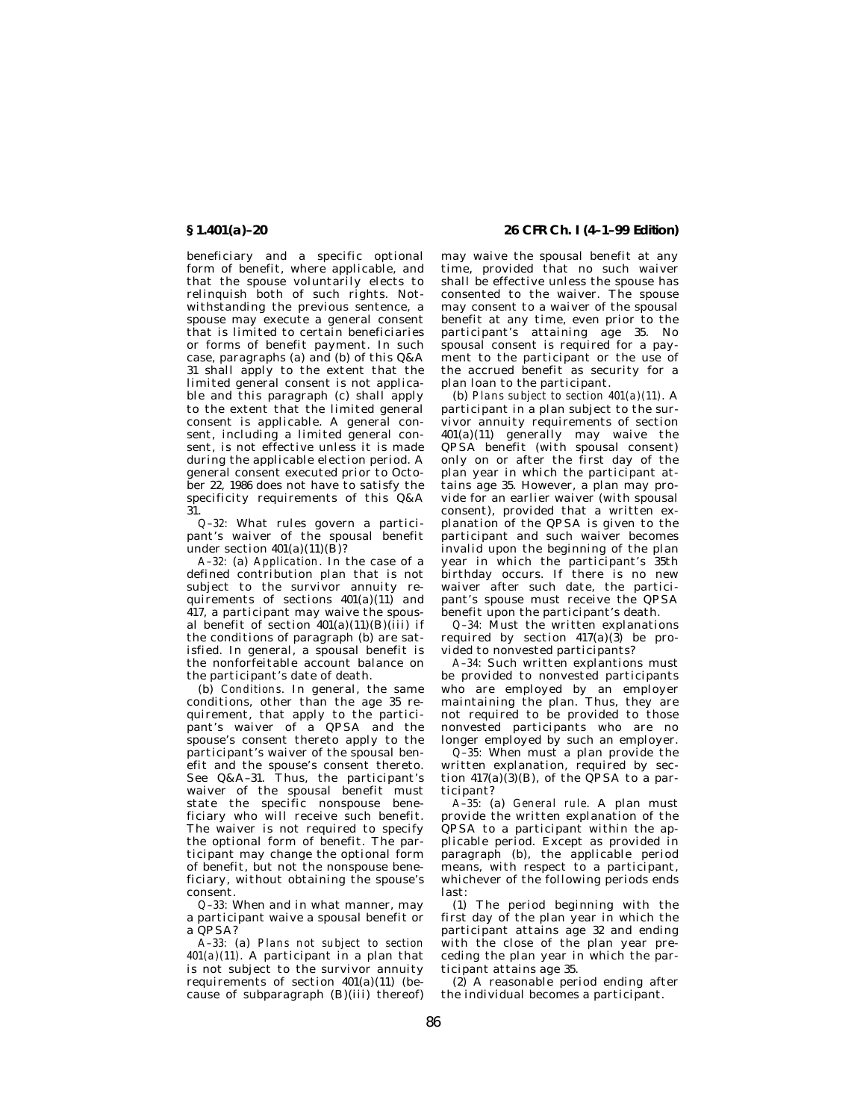beneficiary and a specific optional form of benefit, where applicable, and that the spouse voluntarily elects to relinquish both of such rights. Notwithstanding the previous sentence, a spouse may execute a general consent that is limited to certain beneficiaries or forms of benefit payment. In such case, paragraphs (a) and (b) of this Q&A 31 shall apply to the extent that the limited general consent is not applicable and this paragraph (c) shall apply to the extent that the limited general consent is applicable. A general consent, including a limited general consent, is not effective unless it is made during the applicable election period. A general consent executed prior to October 22, 1986 does not have to satisfy the specificity requirements of this Q&A 31.

*Q–32:* What rules govern a participant's waiver of the spousal benefit under section  $401(a)(11)(B)$ ?

*A–32:* (a) *Application*. In the case of a defined contribution plan that is not subject to the survivor annuity requirements of sections  $401(a)(11)$  and 417, a participant may waive the spousal benefit of section 401(a)(11)(B)(iii) if the conditions of paragraph (b) are satisfied. In general, a spousal benefit is the nonforfeitable account balance on the participant's date of death.

(b) *Conditions*. In general, the same conditions, other than the age 35 requirement, that apply to the participant's waiver of a QPSA and the spouse's consent thereto apply to the participant's waiver of the spousal benefit and the spouse's consent thereto. See Q&A–31. Thus, the participant's waiver of the spousal benefit must state the specific nonspouse beneficiary who will receive such benefit. The waiver is not required to specify the optional form of benefit. The participant may change the optional form of benefit, but not the nonspouse beneficiary, without obtaining the spouse's consent.

*Q–33:* When and in what manner, may a participant waive a spousal benefit or  $a$   $\overline{OPS}$  $A$ ?

*A–33:* (a) *Plans not subject to section 401(a)(11)*. A participant in a plan that is not subject to the survivor annuity requirements of section  $401(a)(11)$  (because of subparagraph (B)(iii) thereof)

**§ 1.401(a)–20 26 CFR Ch. I (4–1–99 Edition)**

may waive the spousal benefit at any time, provided that no such waiver shall be effective unless the spouse has consented to the waiver. The spouse may consent to a waiver of the spousal benefit at any time, even prior to the participant's attaining age 35. No spousal consent is required for a payment to the participant or the use of the accrued benefit as security for a plan loan to the participant.

(b) *Plans subject to section 401(a)(11)*. A participant in a plan subject to the survivor annuity requirements of section 401(a)(11) generally may waive the QPSA benefit (with spousal consent) only on or after the first day of the plan year in which the participant attains age 35. However, a plan may provide for an earlier waiver (with spousal consent), provided that a written explanation of the QPSA is given to the participant and such waiver becomes invalid upon the beginning of the plan year in which the participant's 35th birthday occurs. If there is no new waiver after such date, the participant's spouse must receive the QPSA benefit upon the participant's death.

*Q–34:* Must the written explanations required by section  $417(a)(3)$  be provided to nonvested participants?

*A–34:* Such written explantions must be provided to nonvested participants who are employed by an employer maintaining the plan. Thus, they are not required to be provided to those nonvested participants who are no longer employed by such an employer.

*Q–35:* When must a plan provide the written explanation, required by section  $417(a)(3)(B)$ , of the QPSA to a participant?

*A–35:* (a) *General rule*. A plan must provide the written explanation of the QPSA to a participant within the applicable period. Except as provided in paragraph (b), the applicable period means, with respect to a participant, whichever of the following periods ends last:

(1) The period beginning with the first day of the plan year in which the participant attains age 32 and ending with the close of the plan year preceding the plan year in which the participant attains age 35.

(2) A reasonable period ending after the individual becomes a participant.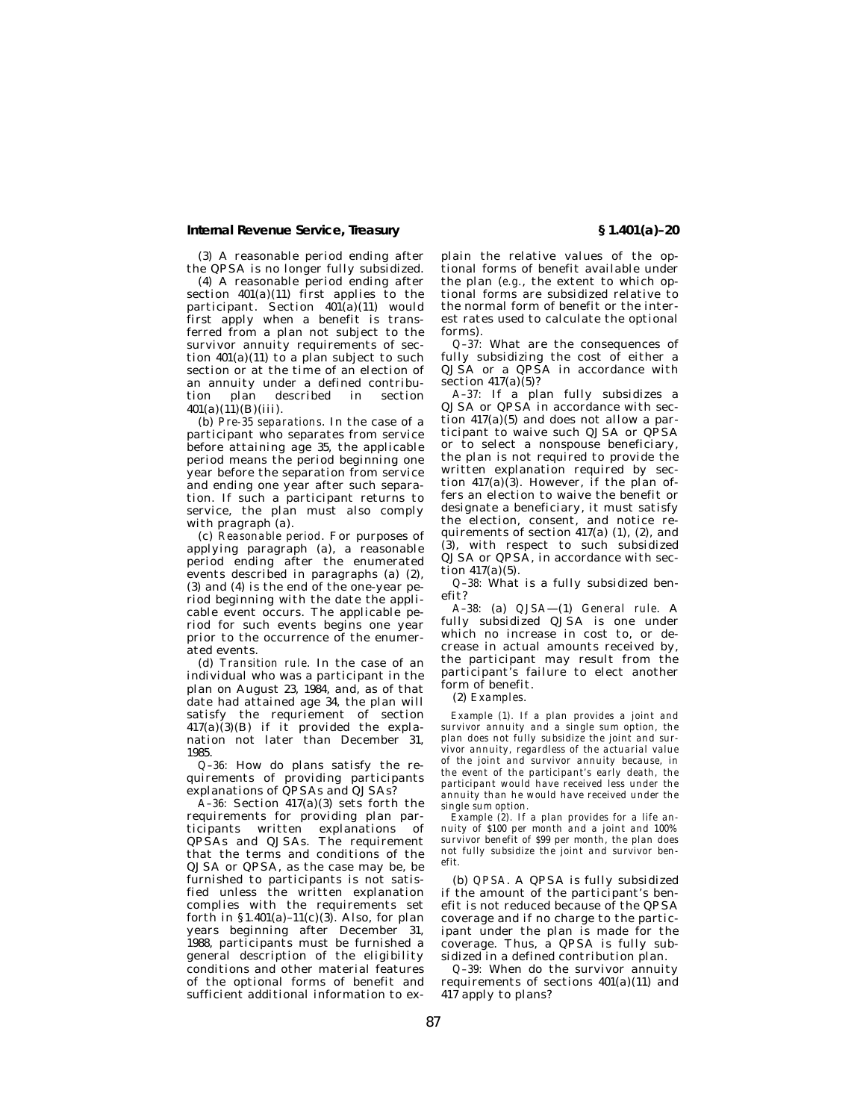(3) A reasonable period ending after the QPSA is no longer fully subsidized.

(4) A reasonable period ending after section  $401(a)(11)$  first applies to the participant. Section  $401(a)(11)$  would first apply when a benefit is transferred from a plan not subject to the survivor annuity requirements of section  $401(a)(11)$  to a plan subject to such section or at the time of an election of an annuity under a defined contribudescribed  $401(a)(11)(B)(iii)$ .

(b) *Pre-35 separations*. In the case of a participant who separates from service before attaining age 35, the applicable period means the period beginning one year before the separation from service and ending one year after such separation. If such a participant returns to service, the plan must also comply with pragraph (a).

(c) *Reasonable period*. For purposes of applying paragraph (a), a reasonable period ending after the enumerated events described in paragraphs (a) (2), (3) and (4) is the end of the one-year period beginning with the date the applicable event occurs. The applicable period for such events begins one year prior to the occurrence of the enumer-.<br>ated events.

(d) *Transition rule*. In the case of an individual who was a participant in the plan on August 23, 1984, and, as of that date had attained age 34, the plan will satisfy the requriement of section 417(a)(3)(B) if it provided the explanation not later than December 31, 1985.

*Q–36:* How do plans satisfy the requirements of providing participants explanations of QPSAs and QJSAs?

*A–36:* Section 417(a)(3) sets forth the requirements for providing plan participants written explanations of QPSAs and QJSAs. The requirement that the terms and conditions of the QJSA or QPSA, as the case may be, be furnished to participants is not satisfied unless the written explanation complies with the requirements set forth in  $$1.401(a)-11(c)(3)$ . Also, for plan years beginning after December 31, 1988, participants must be furnished a general description of the eligibility conditions and other material features of the optional forms of benefit and sufficient additional information to explain the relative values of the optional forms of benefit available under the plan (*e.g.*, the extent to which optional forms are subsidized relative to the normal form of benefit or the interest rates used to calculate the optional forms).

*Q–37:* What are the consequences of fully subsidizing the cost of either a QJSA or a QPSA in accordance with  $section 417(a)(5)?$ 

*A–37:* If a plan fully subsidizes a QJSA or QPSA in accordance with section  $417(a)(5)$  and does not allow a participant to waive such QJSA or QPSA or to select a nonspouse beneficiary, the plan is not required to provide the written explanation required by section  $417(a)(3)$ . However, if the plan offers an election to waive the benefit or designate a beneficiary, it must satisfy the election, consent, and notice requirements of section 417(a) (1), (2), and (3), with respect to such subsidized QJSA or QPSA, in accordance with section  $417(a)(5)$ .

*Q–38:* What is a fully subsidized benefit?

*A–38:* (a) *QJSA*—(1) *General rule*. A fully subsidized QJSA is one under which no increase in cost to, or decrease in actual amounts received by, the participant may result from the participant's failure to elect another form of benefit.

(2) *Examples*.

*Example (1). If a plan provides a joint and survivor annuity and a single sum option, the plan does not fully subsidize the joint and survivor annuity, regardless of the actuarial value of the joint and survivor annuity because, in the event of the participant's early death, the participant would have received less under the annuity than he would have received under the single sum option.*

*Example (2). If a plan provides for a life annuity of \$100 per month and a joint and 100% survivor benefit of \$99 per month, the plan does not fully subsidize the joint and survivor benefit.*

(b) *QPSA*. A QPSA is fully subsidized if the amount of the participant's benefit is not reduced because of the QPSA coverage and if no charge to the participant under the plan is made for the coverage. Thus, a QPSA is fully subsidized in a defined contribution plan.

*Q–39:* When do the survivor annuity requirements of sections 401(a)(11) and 417 apply to plans?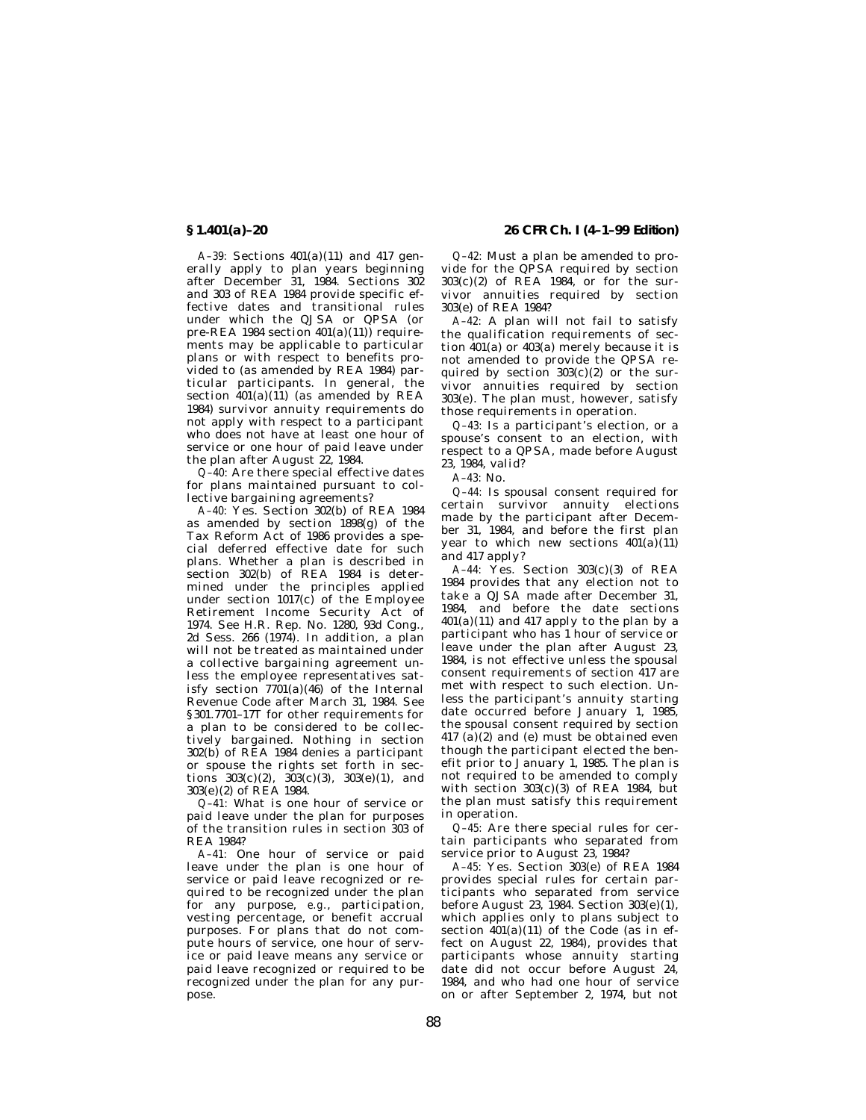*A–39:* Sections 401(a)(11) and 417 generally apply to plan years beginning after December 31, 1984. Sections 302 and 303 of REA 1984 provide specific effective dates and transitional rules under which the QJSA or QPSA (or pre-REA 1984 section  $401(a)(11)$  requirements may be applicable to particular plans or with respect to benefits provided to (as amended by REA 1984) particular participants. In general, the section  $401(a)(11)$  (as amended by REA 1984) survivor annuity requirements do not apply with respect to a participant who does not have at least one hour of service or one hour of paid leave under the plan after August 22, 1984.

*Q–40:* Are there special effective dates for plans maintained pursuant to collective bargaining agreements?

*A–40:* Yes. Section 302(b) of REA 1984 as amended by section 1898(g) of the Tax Reform Act of 1986 provides a special deferred effective date for such plans. Whether a plan is described in section 302(b) of REA 1984 is determined under the principles applied under section 1017(c) of the Employee Retirement Income Security Act of 1974. See H.R. Rep. No. 1280, 93d Cong., 2d Sess. 266 (1974). In addition, a plan will not be treated as maintained under a collective bargaining agreement unless the employee representatives satisfy section 7701(a)(46) of the Internal Revenue Code after March 31, 1984. See § 301.7701–17T for other requirements for a plan to be considered to be collectively bargained. Nothing in section 302(b) of REA 1984 denies a participant or spouse the rights set forth in sections  $303(c)(2)$ ,  $303(c)(3)$ ,  $303(e)(1)$ , and 303(e)(2) of REA 1984.

*Q–41:* What is one hour of service or paid leave under the plan for purposes of the transition rules in section 303 of REA 1984?

*A–41:* One hour of service or paid leave under the plan is one hour of service or paid leave recognized or required to be recognized under the plan for any purpose, *e.g.*, participation, vesting percentage, or benefit accrual purposes. For plans that do not compute hours of service, one hour of service or paid leave means any service or paid leave recognized or required to be recognized under the plan for any purpose.

# **§ 1.401(a)–20 26 CFR Ch. I (4–1–99 Edition)**

*Q–42:* Must a plan be amended to provide for the QPSA required by section 303(c)(2) of REA 1984, or for the survivor annuities required by section 303(e) of REA 1984?

*A–42:* A plan will not fail to satisfy the qualification requirements of section 401(a) or 403(a) merely because it is not amended to provide the QPSA required by section  $303(c)(2)$  or the survivor annuities required by section 303(e). The plan must, however, satisfy those requirements in operation.

*Q–43:* Is a participant's election, or a spouse's consent to an election, with respect to a QPSA, made before August 23, 1984, valid?

*A–43:* No.

*Q–44:* Is spousal consent required for certain survivor annuity elections made by the participant after December 31, 1984, and before the first plan year to which new sections  $401(a)(11)$ and 417 apply?

*A–44:* Yes. Section 303(c)(3) of REA 1984 provides that any election not to take a QJSA made after December 31, 1984, and before the date sections  $401(a)(11)$  and  $417$  apply to the plan by a participant who has 1 hour of service or leave under the plan after August 23, 1984, is not effective unless the spousal consent requirements of section 417 are met with respect to such election. Unless the participant's annuity starting date occurred before January 1, 1985, the spousal consent required by section  $417$  (a)(2) and (e) must be obtained even though the participant elected the benefit prior to January 1, 1985. The plan is not required to be amended to comply with section  $303(c)(3)$  of REA 1984, but the plan must satisfy this requirement in operation.

*Q–45:* Are there special rules for certain participants who separated from service prior to August 23, 1984?

*A–45:* Yes. Section 303(e) of REA 1984 provides special rules for certain participants who separated from service before August 23, 1984. Section 303(e)(1), which applies only to plans subject to section  $401(a)(11)$  of the Code (as in effect on August 22, 1984), provides that participants whose annuity starting date did not occur before August 24, 1984, and who had one hour of service on or after September 2, 1974, but not